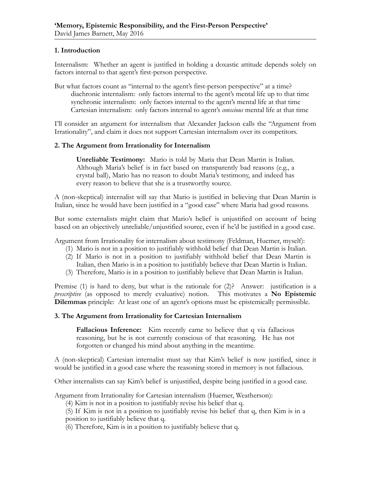## **1. Introduction**

Internalism: Whether an agent is justified in holding a doxastic attitude depends solely on factors internal to that agent's first-person perspective.

But what factors count as "internal to the agent's first-person perspective" at a time? diachronic internalism: only factors internal to the agent's mental life up to that time synchronic internalism: only factors internal to the agent's mental life at that time Cartesian internalism: only factors internal to agent's *conscious* mental life at that time

I'll consider an argument for internalism that Alexander Jackson calls the "Argument from Irrationality", and claim it does not support Cartesian internalism over its competitors.

## **2. The Argument from Irrationality for Internalism**

**Unreliable Testimony:** Mario is told by Maria that Dean Martin is Italian. Although Maria's belief is in fact based on transparently bad reasons (e.g., a crystal ball), Mario has no reason to doubt Maria's testimony, and indeed has every reason to believe that she is a trustworthy source.

A (non-skeptical) internalist will say that Mario is justified in believing that Dean Martin is Italian, since he would have been justified in a "good case" where Maria had good reasons.

But some externalists might claim that Mario's belief is unjustified on account of being based on an objectively unreliable/unjustified source, even if he'd be justified in a good case.

Argument from Irrationality for internalism about testimony (Feldman, Huemer, myself):

- (1) Mario is not in a position to justifiably withhold belief that Dean Martin is Italian.
- (2) If Mario is not in a position to justifiably withhold belief that Dean Martin is Italian, then Mario is in a position to justifiably believe that Dean Martin is Italian.
- (3) Therefore, Mario is in a position to justifiably believe that Dean Martin is Italian.

Premise (1) is hard to deny, but what is the rationale for (2)? Answer: justification is a *prescriptive* (as opposed to merely evaluative) notion. This motivates a **No Epistemic Dilemmas** principle: At least one of an agent's options must be epistemically permissible.

## **3. The Argument from Irrationality for Cartesian Internalism**

**Fallacious Inference:** Kim recently came to believe that q via fallacious reasoning, but he is not currently conscious of that reasoning. He has not forgotten or changed his mind about anything in the meantime.

A (non-skeptical) Cartesian internalist must say that Kim's belief is now justified, since it would be justified in a good case where the reasoning stored in memory is not fallacious.

Other internalists can say Kim's belief is unjustified, despite being justified in a good case.

Argument from Irrationality for Cartesian internalism (Huemer, Weatherson):

(4) Kim is not in a position to justifiably revise his belief that q.

(5) If Kim is not in a position to justifiably revise his belief that q, then Kim is in a position to justifiably believe that q.

(6) Therefore, Kim is in a position to justifiably believe that q.